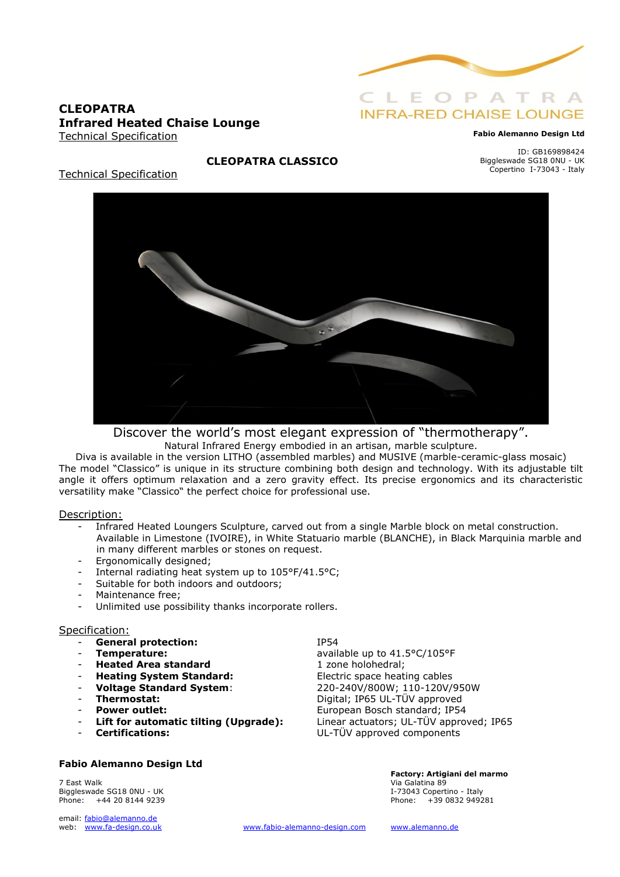

## **CLEOPATRA Infrared Heated Chaise Lounge** Technical Specification

#### **Fabio Alemanno Design Ltd**

ID: GB169898424 Biggleswade SG18 0NU - UK Copertino I-73043 - Italy

Technical Specification



**CLEOPATRA CLASSICO**

Discover the world's most elegant expression of "thermotherapy". Natural Infrared Energy embodied in an artisan, marble sculpture.

Diva is available in the version LITHO (assembled marbles) and MUSIVE (marble-ceramic-glass mosaic) The model "Classico" is unique in its structure combining both design and technology. With its adjustable tilt angle it offers optimum relaxation and a zero gravity effect. Its precise ergonomics and its characteristic versatility make "Classico" the perfect choice for professional use.

#### Description:

- Infrared Heated Loungers Sculpture, carved out from a single Marble block on metal construction. Available in Limestone (IVOIRE), in White Statuario marble (BLANCHE), in Black Marquinia marble and in many different marbles or stones on request.
- Ergonomically designed;
- Internal radiating heat system up to 105°F/41.5°C;
- Suitable for both indoors and outdoors;
- Maintenance free;
- Unlimited use possibility thanks incorporate rollers.

#### Specification:

- General protection: IP54
- 
- **Heated Area standard** 1 zone holohedral;
- **Heating System Standard:** Electric space heating cables
- 
- 
- 
- 
- 

### **Fabio Alemanno Design Ltd**

7 East Walk Via Galatina 89 Biggleswade SG18 0NU - UK Phone: +44 20 8144 9239 **Phone: +39 0832 949281** 

email: fabio@alemanno.de<br>web: www.fa-design.co.uk

**Temperature:** available up to 41.5°C/105°F - **Voltage Standard System**: 220-240V/800W; 110-120V/950W Thermostat: Digital; IP65 UL-TÜV approved **Power outlet:** European Bosch standard; IP54 Lift for automatic tilting (Upgrade): Linear actuators; UL-TÜV approved; IP65 - **Certifications:** UL-TÜV approved components

**Factory: Artigiani del marmo** 

[www.fabio-alemanno-design.com](http://www.fabio-alemanno-design.com/) [www.alemanno.de](http://www.alemanno.de/)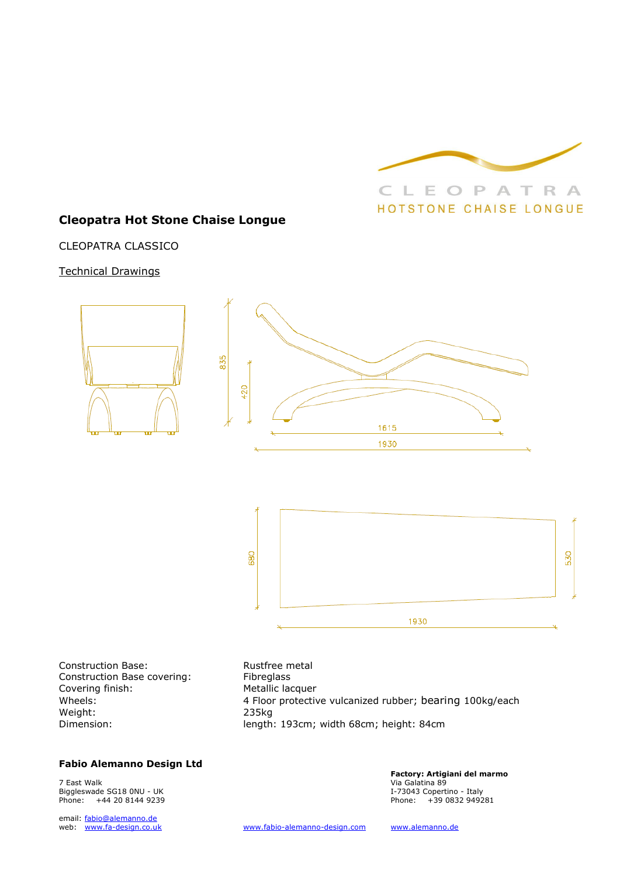

## **Cleopatra Hot Stone Chaise Longue**

CLEOPATRA CLASSICO

### Technical Drawings



Construction Base: Rustfree metal Construction Base covering: Fibreglass Covering finish: Metallic lacquer Weight: 235kg

Wheels: **4 Floor protective vulcanized rubber; bearing 100kg/each** length: 193cm; width 68cm; height: 84cm

#### **Fabio Alemanno Design Ltd**

7 East Walk Via Galatina 89 Biggleswade SG18 0NU - UK 1-73043 Copertino - Italy<br>
Phone: 144 20 8144 9239 199281 199281 199382 949281 199382 949281 Phone:  $+442081449239$ 

email: fabio@alemanno.de<br>web: www.fa-design.co.uk

**Factory: Artigiani del marmo** 

[www.fabio-alemanno-design.com](http://www.fabio-alemanno-design.com/) [www.alemanno.de](http://www.alemanno.de/)